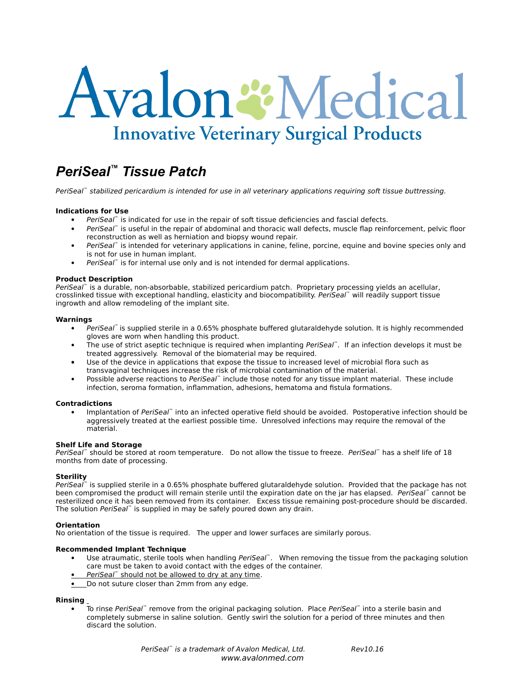# Avalon & Medical **Innovative Veterinary Surgical Products**

## *PeriSeal™ Tissue Patch*

PeriSeal™ stabilized pericardium is intended for use in all veterinary applications requiring soft tissue buttressing.

#### **Indications for Use**

- PeriSeal™ is indicated for use in the repair of soft tissue deficiencies and fascial defects.
- PeriSeal™ is useful in the repair of abdominal and thoracic wall defects, muscle flap reinforcement, pelvic floor reconstruction as well as herniation and biopsy wound repair.
- PeriSeal™ is intended for veterinary applications in canine, feline, porcine, equine and bovine species only and is not for use in human implant.
- PeriSeal<sup>™</sup> is for internal use only and is not intended for dermal applications.

#### **Product Description**

PeriSeal™ is a durable, non-absorbable, stabilized pericardium patch. Proprietary processing yields an acellular, crosslinked tissue with exceptional handling, elasticity and biocompatibility. PeriSeal™ will readily support tissue ingrowth and allow remodeling of the implant site.

#### **Warnings**

- PeriSeal™ is supplied sterile in a 0.65% phosphate buffered glutaraldehyde solution. It is highly recommended gloves are worn when handling this product.
- The use of strict aseptic technique is required when implanting PeriSeal™. If an infection develops it must be treated aggressively. Removal of the biomaterial may be required.
- Use of the device in applications that expose the tissue to increased level of microbial flora such as transvaginal techniques increase the risk of microbial contamination of the material.
- Possible adverse reactions to PeriSeal™ include those noted for any tissue implant material. These include infection, seroma formation, inflammation, adhesions, hematoma and fistula formations.

#### **Contradictions**

Implantation of PeriSeal™ into an infected operative field should be avoided. Postoperative infection should be aggressively treated at the earliest possible time. Unresolved infections may require the removal of the material.

#### **Shelf Life and Storage**

PeriSeal™ should be stored at room temperature. Do not allow the tissue to freeze. PeriSeal™ has a shelf life of 18 months from date of processing.

#### **Sterility**

PeriSeal<sup>™</sup> is supplied sterile in a 0.65% phosphate buffered glutaraldehyde solution. Provided that the package has not been compromised the product will remain sterile until the expiration date on the jar has elapsed. PeriSeal™ cannot be resterilized once it has been removed from its container. Excess tissue remaining post-procedure should be discarded. The solution PeriSeal™ is supplied in may be safely poured down any drain.

#### **Orientation**

No orientation of the tissue is required. The upper and lower surfaces are similarly porous.

#### **Recommended Implant Technique**

- Use atraumatic, sterile tools when handling PeriSeal™. When removing the tissue from the packaging solution care must be taken to avoid contact with the edges of the container.
- PeriSeal™ should not be allowed to dry at any time.
- Do not suture closer than 2mm from any edge.

### **Rinsing**

To rinse PeriSeal™ remove from the original packaging solution. Place PeriSeal™ into a sterile basin and completely submerse in saline solution. Gently swirl the solution for a period of three minutes and then discard the solution.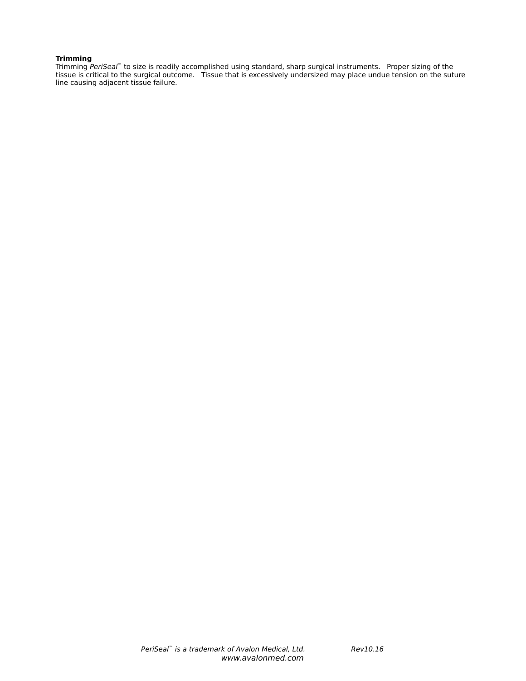#### **Trimming**

Trimming PeriSeal™ to size is readily accomplished using standard, sharp surgical instruments. Proper sizing of the tissue is critical to the surgical outcome. Tissue that is excessively undersized may place undue tension on the suture line causing adjacent tissue failure.